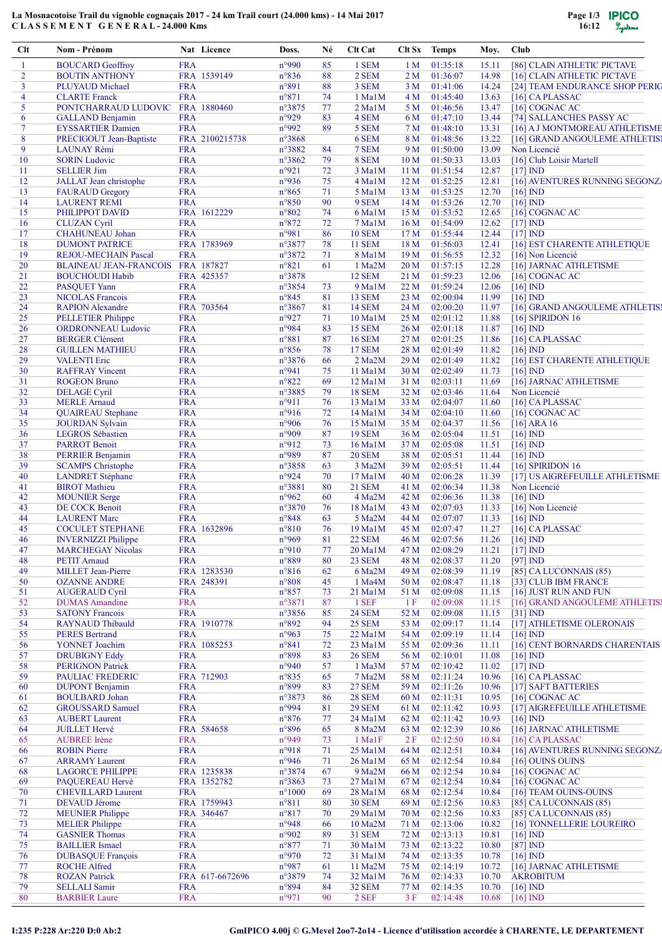## La Mosnacotoise Trail du vignoble cognaçais 2017 - 24 km Trail court (24.000 kms) - 14 Mai 2017 C L A S S E M E N T G E N E R A L - 24.000 Kms

| Clt            | Nom - Prénom                      |            | Nat Licence     | Doss.           | Né | <b>Clt Cat</b> |                 | Clt Sx Temps | Moy.  | <b>Club</b>                     |
|----------------|-----------------------------------|------------|-----------------|-----------------|----|----------------|-----------------|--------------|-------|---------------------------------|
| -1             | <b>BOUCARD Geoffroy</b>           | <b>FRA</b> |                 | n°990           | 85 | 1 SEM          | 1 <sub>M</sub>  | 01:35:18     | 15.11 | [86] CLAIN ATHLETIC PICTAVE     |
| $\overline{2}$ | <b>BOUTIN ANTHONY</b>             |            | FRA 1539149     | $n^{\circ}836$  | 88 | 2 SEM          | 2 <sub>M</sub>  | 01:36:07     | 14.98 | [16] CLAIN ATHLETIC PICTAVE     |
| 3              | PLUYAUD Michael                   | <b>FRA</b> |                 | n°891           | 88 | 3 SEM          | 3 <sub>M</sub>  | 01:41:06     | 14.24 | [24] TEAM ENDURANCE SHOP PERIG  |
| 4              | <b>CLARTE</b> Franck              | <b>FRA</b> |                 | $n^{\circ}871$  | 74 | 1 Ma1M         | 4 <sub>M</sub>  | 01:45:40     | 13.63 | $[16]$ CA PLASSAC               |
| 5              | PONTCHARRAUD LUDOVIC FRA 1880460  |            |                 | $n^{\circ}3875$ | 77 | $2$ Ma $1$ M   | 5 M             | 01:46:56     | 13.47 | $[16]$ COGNAC AC                |
| 6              | <b>GALLAND Benjamin</b>           | <b>FRA</b> |                 | n°929           | 83 | 4 SEM          | 6 M             | 01:47:10     | 13.44 | [74] SALLANCHES PASSY AC        |
| $\overline{7}$ | <b>EYSSARTIER Damien</b>          | <b>FRA</b> |                 | n°992           | 89 | 5 SEM          | 7 M             | 01:48:10     | 13.31 | [16] A J MONTMOREAU ATHLETISME  |
| 8              | PRECIGOUT Jean-Baptiste           |            | FRA 2100215738  | n°3868          |    | 6 SEM          | 8 M             | 01:48:56     | 13.22 | [16] GRAND ANGOULEME ATHLETIS]  |
| 9              | <b>LAUNAY Rémi</b>                | <b>FRA</b> |                 | n°3882          | 84 | 7 SEM          | 9 M             | 01:50:00     | 13.09 | Non Licencié                    |
| 10             | <b>SORIN Ludovic</b>              | <b>FRA</b> |                 | n°3862          | 79 | 8 SEM          | 10 <sub>M</sub> | 01:50:33     | 13.03 | [16] Club Loisir Martell        |
| 11             | <b>SELLIER Jim</b>                | <b>FRA</b> |                 | n°921           | 72 | 3 MalM         | 11 <sub>M</sub> | 01:51:54     | 12.87 | $[17]$ IND                      |
| 12             | JALLAT Jean christophe            | <b>FRA</b> |                 | n°936           | 75 | 4 Ma1M         | 12M             | 01:52:25     | 12.81 | [16] AVENTURES RUNNING SEGONZA  |
| 13             | <b>FAURAUD Gregory</b>            | <b>FRA</b> |                 | $n^{\circ}865$  | 71 | 5 MalM         | 13M             | 01:53:25     | 12.70 | $[16]$ IND                      |
|                |                                   |            |                 |                 |    |                |                 |              |       |                                 |
| 14             | <b>LAURENT REMI</b>               | <b>FRA</b> |                 | $n^{\circ}850$  | 90 | 9 SEM          | 14M             | 01:53:26     | 12.70 | $[16]$ $ND$                     |
| 15             | PHILIPPOT DAVID                   |            | FRA 1612229     | $n^{\circ}802$  | 74 | 6 Ma1M         | 15 <sub>M</sub> | 01:53:52     | 12.65 | $[16]$ COGNAC AC                |
| 16             | <b>CLUZAN</b> Cyril               | <b>FRA</b> |                 | $n^{\circ}872$  | 72 | 7 MalM         | 16M             | 01:54:09     | 12.62 | $[17]$ IND                      |
| 17             | <b>CHAHUNEAU Johan</b>            | <b>FRA</b> |                 | n°981           | 86 | <b>10 SEM</b>  | 17 <sub>M</sub> | 01:55:44     | 12.44 | $[17]$ IND                      |
| 18             | <b>DUMONT PATRICE</b>             |            | FRA 1783969     | n°3877          | 78 | <b>11 SEM</b>  | 18 M            | 01:56:03     | 12.41 | [16] EST CHARENTE ATHLETIQUE    |
| 19             | <b>REJOU-MECHAIN Pascal</b>       | <b>FRA</b> |                 | n°3872          | 71 | 8 Ma1M         | 19 <sub>M</sub> | 01:56:55     | 12.32 | [16] Non Licencié               |
| 20             | BLAINEAU JEAN-FRANCOIS FRA 187827 |            |                 | $n^{\circ}821$  | 61 | 1 Ma2M         | 20 <sub>M</sub> | 01:57:15     | 12.28 | [16] JARNAC ATHLETISME          |
| 21             | <b>BOUCHOUDI Habib</b>            |            | FRA 425357      | n°3878          |    | <b>12 SEM</b>  | 21 M            | 01:59:23     | 12.06 | $[16]$ COGNAC AC                |
| 22             | <b>PASQUET Yann</b>               | <b>FRA</b> |                 | n°3854          | 73 | 9 Ma1M         | 22 M            | 01:59:24     | 12.06 | $[16]$ IND                      |
| 23             | <b>NICOLAS Francois</b>           | <b>FRA</b> |                 | $n^{\circ}845$  | 81 | <b>13 SEM</b>  | 23 M            | 02:00:04     | 11.99 | $[16]$ IND                      |
| 24             | <b>RAPION Alexandre</b>           |            | FRA 703564      | n°3867          | 81 | <b>14 SEM</b>  | 24 M            | 02:00:20     | 11.97 | [16] GRAND ANGOULEME ATHLETIS]  |
| 25             | <b>PELLETIER Philippe</b>         | <b>FRA</b> |                 | n°927           | 71 | $10$ Ma $1$ M  | 25 M            | 02:01:12     | 11.88 | $[16]$ SPIRIDON 16              |
| 26             | <b>ORDRONNEAU Ludovic</b>         | <b>FRA</b> |                 | n°984           | 83 | <b>15 SEM</b>  | 26 M            | 02:01:18     | 11.87 | $[16]$ IND                      |
| 27             | <b>BERGER Clément</b>             | <b>FRA</b> |                 | n°881           | 87 | <b>16 SEM</b>  | 27 M            | 02:01:25     | 11.86 | $[16]$ CA PLASSAC               |
|                |                                   |            |                 |                 |    |                |                 |              |       |                                 |
| 28             | <b>GUILLEN MATHIEU</b>            | <b>FRA</b> |                 | $n^{\circ}856$  | 78 | <b>17 SEM</b>  | 28 M            | 02:01:49     | 11.82 | $[16]$ IND                      |
| 29             | <b>VALENTI Eric</b>               | <b>FRA</b> |                 | n°3876          | 66 | $2$ Ma $2$ M   | 29 M            | 02:01:49     | 11.82 | [16] EST CHARENTE ATHLETIQUE    |
| 30             | <b>RAFFRAY Vincent</b>            | <b>FRA</b> |                 | n°941           | 75 | 11 Ma1M        | 30 M            | 02:02:49     | 11.73 | $[16]$ IND                      |
| 31             | <b>ROGEON Bruno</b>               | <b>FRA</b> |                 | $n^{\circ}822$  | 69 | 12 MalM        | 31 M            | 02:03:11     | 11.69 | [16] JARNAC ATHLETISME          |
| 32             | <b>DELAGE Cyril</b>               | <b>FRA</b> |                 | n°3885          | 79 | <b>18 SEM</b>  | 32 M            | 02:03:46     | 11.64 | Non Licencié                    |
| 33             | <b>MERLE</b> Arnaud               | <b>FRA</b> |                 | n°911           | 76 | 13 MalM        | 33 M            | 02:04:07     | 11.60 | $[16]$ CA PLASSAC               |
| 34             | <b>QUAIREAU</b> Stephane          | <b>FRA</b> |                 | $n^{\circ}916$  | 72 | $14$ Ma $1$ M  | 34 M            | 02:04:10     | 11.60 | $[16]$ COGNAC AC                |
| 35             | <b>JOURDAN Sylvain</b>            | <b>FRA</b> |                 | n°906           | 76 | 15 Ma1M        | 35 M            | 02:04:37     | 11.56 | $[16]$ ARA 16                   |
| 36             | <b>LEGROS</b> Sébastien           | <b>FRA</b> |                 | n°909           | 87 | <b>19 SEM</b>  | 36 M            | 02:05:04     | 11.51 | $[16]$ IND                      |
| 37             | <b>PARROT Benoit</b>              | <b>FRA</b> |                 | $n^{\circ}912$  | 73 | $16$ Ma $1$ M  | 37 M            | 02:05:08     | 11.51 | $[16]$ IND                      |
| 38             | PERRIER Benjamin                  | <b>FRA</b> |                 | n°989           | 87 | <b>20 SEM</b>  | 38 M            | 02:05:51     | 11.44 | $[16]$ IND                      |
| 39             | <b>SCAMPS</b> Christophe          | <b>FRA</b> |                 | n°3858          | 63 | 3 Ma2M         | 39 M            | 02:05:51     | 11.44 | [16] SPIRIDON 16                |
| 40             |                                   | <b>FRA</b> |                 | n°924           | 70 | 17 Ma1M        |                 | 02:06:28     |       | [17] US AIGREFEUILLE ATHLETISME |
|                | <b>LANDRET</b> Stéphane           |            |                 |                 |    |                | 40 M            |              | 11.39 |                                 |
| 41             | <b>BIROT</b> Mathieu              | <b>FRA</b> |                 | n°3881          | 80 | <b>21 SEM</b>  | 41 M            | 02:06:34     | 11.38 | Non Licencié                    |
| 42             | <b>MOUNIER Serge</b>              | <b>FRA</b> |                 | $n^{\circ}962$  | 60 | 4 Ma2M         | 42 M            | 02:06:36     | 11.38 | $[16]$ IND                      |
| 43             | DE COCK Benoit                    | <b>FRA</b> |                 | $n^{\circ}3870$ | 76 | 18 Ma1M        | 43 M            | 02:07:03     | 11.33 | [16] Non Licencié               |
| 44             | <b>LAURENT Marc</b>               | <b>FRA</b> |                 | n°848           | 63 | 5 Ma2M         | 44 M            | 02:07:07     | 11.33 | $[16]$ $ND$                     |
| 45             | <b>COCULET STEPHANE</b>           |            | FRA 1632896     | n°810           | 76 | $19$ Ma $1$ M  | 45 M            | 02:07:47     | 11.27 | $[16]$ CA PLASSAC               |
| 46             | <b>INVERNIZZI Philippe</b>        | <b>FRA</b> |                 | n°969           | 81 | <b>22 SEM</b>  | 46 M            | 02:07:56     | 11.26 | $[16]$ IND                      |
| 47             | <b>MARCHEGAY Nicolas</b>          | <b>FRA</b> |                 | $n^{\circ}910$  | 77 | 20 Ma1M        | 47 M            | 02:08:29     | 11.21 | $[17]$ IND                      |
| 48             | <b>PETIT Amaud</b>                | <b>FRA</b> |                 | n°889           | 80 | <b>23 SEM</b>  | 48 M            | 02:08:37     | 11.20 | $[97]$ $ND$                     |
| 49             | <b>MILLET</b> Jean-Pierre         |            | FRA 1283530     | $n^{\circ}816$  | 62 | 6 Ma2M         | 49 M            | 02:08:39     | 11.19 | [85] CA LUCONNAIS (85)          |
| 50             | <b>OZANNE ANDRE</b>               |            | FRA 248391      | n°808           | 45 | 1 Ma4M         | 50 M            | 02:08:47     | 11.18 | [33] CLUB IBM FRANCE            |
| 51             | <b>AUGERAUD Cyril</b>             | <b>FRA</b> |                 | $n^{\circ}857$  | 73 | 21 MalM        | 51 M            | 02:09:08     | 11.15 | [16] JUST RUN AND FUN           |
| 52             | <b>DUMAS</b> Amandine             | <b>FRA</b> |                 | n°3871          | 87 | 1 SEF          | 1 F             | 02:09:08     | 11.15 | [16] GRAND ANGOULEME ATHLETIS]  |
| 53             | <b>SATONY Francois</b>            | <b>FRA</b> |                 | $n^{\circ}3856$ | 85 | <b>24 SEM</b>  | 52 M            | 02:09:08     | 11.15 | $[31]$ IND                      |
| 54             | <b>RAYNAUD Thibauld</b>           |            | FRA 1910778     | $n^{\circ}892$  | 94 | <b>25 SEM</b>  | 53 M            | 02:09:17     | 11.14 | [17] ATHLETISME OLERONAIS       |
|                |                                   |            |                 |                 |    |                |                 |              |       |                                 |
| 55             | <b>PERES Bertrand</b>             | <b>FRA</b> |                 | n°963           | 75 | 22 MalM        | 54 M            | 02:09:19     | 11.14 | $[16]$ IND                      |
| 56             | YONNET Joachim                    |            | FRA 1085253     | n°841           | 72 | 23 Ma1M        | 55 M            | 02:09:36     | 11.11 | [16] CENT BORNARDS CHARENTAIS   |
| 57             | <b>DRUBIGNY Eddy</b>              | <b>FRA</b> |                 | n°898           | 83 | <b>26 SEM</b>  | 56 M            | 02:10:01     | 11.08 | $[16]$ ND                       |
| 58             | <b>PERIGNON Patrick</b>           | <b>FRA</b> |                 | n°940           | 57 | $1$ Ma $3M$    | 57 M            | 02:10:42     | 11.02 | $[17]$ IND                      |
| 59             | PAULIAC FREDERIC                  |            | FRA 712903      | n°835           | 65 | 7 Ma2M         | 58 M            | 02:11:24     | 10.96 | $[16]$ CA PLASSAC               |
| 60             | <b>DUPONT Benjamin</b>            | <b>FRA</b> |                 | n°899           | 83 | <b>27 SEM</b>  | 59 M            | 02:11:26     | 10.96 | [17] SAFT BATTERIES             |
| 61             | <b>BOULBARD</b> Johan             | <b>FRA</b> |                 | n°3873          | 86 | <b>28 SEM</b>  | 60 M            | 02:11:31     | 10.95 | $[16]$ COGNAC AC                |
| 62             | <b>GROUSSARD Samuel</b>           | <b>FRA</b> |                 | n°994           | 81 | <b>29 SEM</b>  | 61 M            | 02:11:42     | 10.93 | [17] AIGREFEUILLE ATHLETISME    |
| 63             | <b>AUBERT Laurent</b>             | <b>FRA</b> |                 | $n^{\circ}876$  | 77 | $24$ Ma $1$ M  | 62 M            | 02:11:42     | 10.93 | $[16]$ ND                       |
| 64             | <b>JUILLET Hervé</b>              |            | FRA 584658      | $n^{\circ}896$  | 65 | 8 Ma2M         | 63 M            | 02:12:39     | 10.86 | [16] JARNAC ATHLETISME          |
| 65             | <b>AUBREE</b> Irène               | <b>FRA</b> |                 | n°949           | 73 | 1 Ma1F         | 2F              | 02:12:50     | 10.84 | $[16]$ CA PLASSAC               |
| 66             | <b>ROBIN Pierre</b>               | <b>FRA</b> |                 | n°918           | 71 | 25 Ma1M        | 64 M            | 02:12:51     | 10.84 | [16] AVENTURES RUNNING SEGONZA  |
| 67             | <b>ARRAMY</b> Laurent             | <b>FRA</b> |                 | $n^{\circ}946$  | 71 | 26 Ma1M        | 65 M            | 02:12:54     | 10.84 | [16] OUINS OUINS                |
| 68             | <b>LAGORCE PHILIPPE</b>           |            | FRA 1235838     | n°3874          | 67 | 9 Ma2M         | 66 M            | 02:12:54     | 10.84 | $[16]$ COGNAC AC                |
| 69             | PAQUEREAU Hervé                   |            | FRA 1352782     | n°3863          | 73 | 27 Ma1M        | 67 M            | 02:12:54     | 10.84 | $[16]$ COGNAC AC                |
| 70             | <b>CHEVILLARD Laurent</b>         | <b>FRA</b> |                 | $n^{\circ}1000$ | 69 | $28$ Ma $1M$   | 68 M            | 02:12:54     | 10.84 | [16] TEAM OUINS-OUINS           |
|                |                                   |            |                 |                 |    |                |                 |              |       |                                 |
| 71             | <b>DEVAUD Jérome</b>              |            | FRA 1759943     | $n^{\circ}811$  | 80 | <b>30 SEM</b>  | 69 M            | 02:12:56     | 10.83 | $[85]$ CA LUCONNAIS $(85)$      |
| 72             | <b>MEUNIER Philippe</b>           |            | FRA 346467      | $n^{\circ}817$  | 70 | 29 Ma1M        | 70 M            | 02:12:56     | 10.83 | [85] CA LUCONNAIS (85)          |
| 73             | <b>MELIER Philippe</b>            | <b>FRA</b> |                 | $n^{\circ}948$  | 66 | 10 Ma2M        | 71 M            | 02:13:06     | 10.82 | [16] TONNELLERIE LOUREIRO       |
| 74             | <b>GASNIER Thomas</b>             | <b>FRA</b> |                 | n°902           | 89 | <b>31 SEM</b>  | 72 M            | 02:13:13     | 10.81 | $[16]$ ND                       |
| 75             | <b>BAILLIER</b> Ismael            | <b>FRA</b> |                 | $n^{\circ}877$  | 71 | $30$ Ma $1$ M  | 73 M            | 02:13:22     | 10.80 | $[87]$ IND                      |
| 76             | <b>DUBASQUE François</b>          | <b>FRA</b> |                 | n°970           | 72 | 31 Ma1M        | 74 M            | 02:13:35     | 10.78 | $[16]$ IND                      |
| 77             | <b>ROCHE Alfred</b>               | <b>FRA</b> |                 | n°987           | 61 | $11$ Ma2M      | 75 M            | 02:14:19     | 10.72 | [16] JARNAC ATHLETISME          |
| 78             | <b>ROZAN Patrick</b>              |            | FRA 617-6672696 | n°3879          | 74 | 32 MalM        | 76 M            | 02:14:33     | 10.70 | <b>AKROBITUM</b>                |
| 79             | <b>SELLALI</b> Samir              | <b>FRA</b> |                 | n°894           | 84 | <b>32 SEM</b>  | 77 M            | 02:14:35     | 10.70 | $[16]$ IND                      |
| 80             | <b>BARBIER Laure</b>              | <b>FRA</b> |                 | n°971           | 90 | 2 SEF          | 3F              | 02:14:48     | 10.68 | $[16]$ $ND$                     |
|                |                                   |            |                 |                 |    |                |                 |              |       |                                 |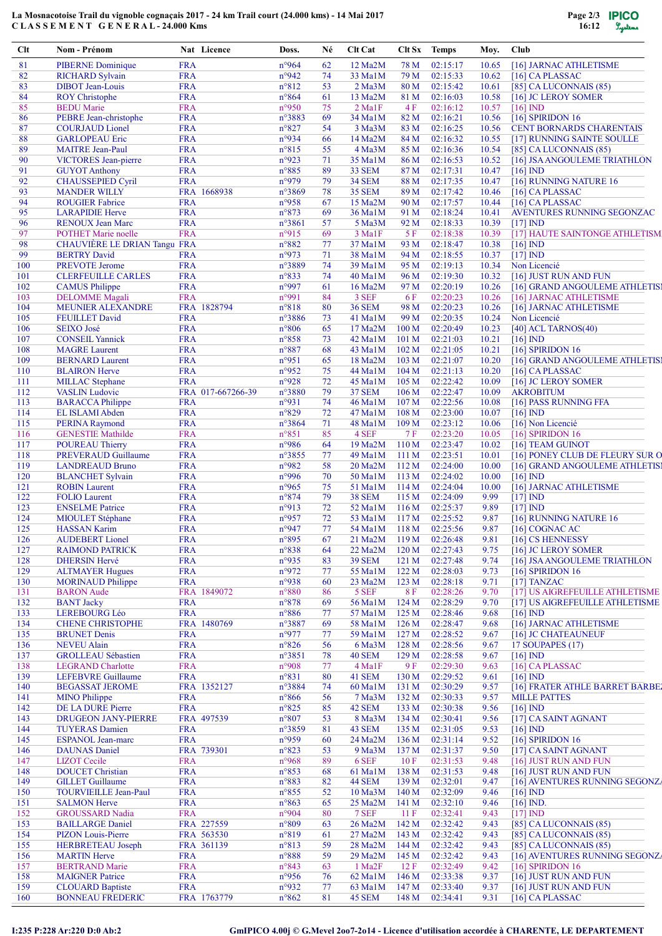## La Mosnacotoise Trail du vignoble cognaçais 2017 - 24 km Trail court (24.000 kms) - 14 Mai 2017 C L A S S E M E N T G E N E R A L - 24.000 Kms

| Clt | Nom - Prénom                 |            | <b>Nat Licence</b> | Doss.          | Né | Clt Cat               | Clt Sx           | <b>Temps</b> | Moy.  | Club                            |
|-----|------------------------------|------------|--------------------|----------------|----|-----------------------|------------------|--------------|-------|---------------------------------|
| 81  | <b>PIBERNE</b> Dominique     | <b>FRA</b> |                    | n°964          | 62 | 12 Ma2M               | 78 M             | 02:15:17     | 10.65 | [16] JARNAC ATHLETISME          |
| 82  | <b>RICHARD Sylvain</b>       | <b>FRA</b> |                    | n°942          | 74 | 33 MalM               | 79 M             | 02:15:33     | 10.62 | $[16]$ CA PLASSAC               |
| 83  | <b>DIBOT</b> Jean-Louis      | <b>FRA</b> |                    | $n^{\circ}812$ | 53 | 2 Ma3M                | 80 M             | 02:15:42     | 10.61 | $[85]$ CA LUCONNAIS $(85)$      |
| 84  | <b>ROY</b> Christophe        | <b>FRA</b> |                    | $n^{\circ}864$ | 61 | 13 Ma2M               | 81 M             | 02:16:03     | 10.58 | [16] JC LEROY SOMER             |
| 85  | <b>BEDU</b> Marie            | <b>FRA</b> |                    | n°950          | 75 | 2 Ma1F                | 4F               | 02:16:12     | 10.57 | $[16]$ IND                      |
| 86  | PEBRE Jean-christophe        | <b>FRA</b> |                    | n°3883         | 69 | 34 MalM               | 82 M             | 02:16:21     | 10.56 | $[16]$ SPIRIDON 16              |
|     |                              | <b>FRA</b> |                    |                | 54 |                       |                  |              |       |                                 |
| 87  | <b>COURJAUD</b> Lionel       |            |                    | n°827          |    | 3 Ma3M                | 83 M             | 02:16:25     | 10.56 | CENT BORNARDS CHARENTAIS        |
| 88  | <b>GARLOPEAU Eric</b>        | <b>FRA</b> |                    | n°934          | 66 | 14 Ma2M               | 84 M             | 02:16:32     | 10.55 | [17] RUNNING SAINTE SOULLE      |
| 89  | <b>MAITRE</b> Jean-Paul      | <b>FRA</b> |                    | n°815          | 55 | 4 Ma3M                | 85 M             | 02:16:36     | 10.54 | $[85]$ CA LUCONNAIS $(85)$      |
| 90  | <b>VICTORES</b> Jean-pierre  | <b>FRA</b> |                    | n°923          | 71 | 35 MalM               | 86 M             | 02:16:53     | 10.52 | [16] JSA ANGOULEME TRIATHLON    |
| 91  | <b>GUYOT Anthony</b>         | <b>FRA</b> |                    | $n^{\circ}885$ | 89 | <b>33 SEM</b>         | 87 M             | 02:17:31     | 10.47 | $[16]$ $ND$                     |
| 92  | <b>CHAUSSEPIED Cyril</b>     | <b>FRA</b> |                    | n°979          | 79 | <b>34 SEM</b>         | 88 M             | 02:17:35     | 10.47 | [16] RUNNING NATURE 16          |
| 93  | <b>MANDER WILLY</b>          |            | FRA 1668938        | n°3869         | 78 | <b>35 SEM</b>         | 89 M             | 02:17:42     | 10.46 | $[16]$ CA PLASSAC               |
| 94  | <b>ROUGIER Fabrice</b>       | <b>FRA</b> |                    | n°958          | 67 | $15$ Ma2M             | 90 M             | 02:17:57     | 10.44 | [16] CAPLASSAC                  |
|     |                              |            |                    |                |    |                       |                  |              |       |                                 |
| 95  | <b>LARAPIDIE Herve</b>       | <b>FRA</b> |                    | $n^{\circ}873$ | 69 | 36 Ma1M               | 91 M             | 02:18:24     | 10.41 | AVENTURES RUNNING SEGONZAC      |
| 96  | <b>RENOUX Jean Marc</b>      | <b>FRA</b> |                    | n°3861         | 57 | 5 Ma3M                | 92 M             | 02:18:33     | 10.39 | $[17]$ IND                      |
| 97  | <b>POTHET Marie noelle</b>   | <b>FRA</b> |                    | n°915          | 69 | 3 Ma1F                | 5 F              | 02:18:38     | 10.39 | [17] HAUTE SAINTONGE ATHLETISM  |
| 98  | CHAUVIÈRE LE DRIAN Tangu FRA |            |                    | n°882          | 77 | 37 MalM               | 93 M             | 02:18:47     | 10.38 | $[16]$ ND                       |
| 99  | <b>BERTRY David</b>          | <b>FRA</b> |                    | n°973          | 71 | 38 MalM               | 94 M             | 02:18:55     | 10.37 | $[17]$ IND                      |
| 100 | <b>PREVOTE Jerome</b>        | <b>FRA</b> |                    | n°3889         | 74 | 39 MalM               | 95 M             | 02:19:13     | 10.34 | Non Licencié                    |
| 101 | <b>CLERFEUILLE CARLES</b>    | <b>FRA</b> |                    | $n^{\circ}833$ | 74 | 40 MalM               | 96 M             | 02:19:30     | 10.32 | [16] JUST RUN AND FUN           |
| 102 | <b>CAMUS Philippe</b>        | <b>FRA</b> |                    | n°997          | 61 | 16 Ma2M               | 97 M             | 02:20:19     | 10.26 | [16] GRAND ANGOULEME ATHLETIS]  |
| 103 |                              | <b>FRA</b> |                    | n°991          | 84 | 3 SEF                 | 6 F              | 02:20:23     | 10.26 |                                 |
|     | <b>DELOMME</b> Magali        |            |                    |                |    |                       |                  |              |       | [16] JARNAC ATHLETISME          |
| 104 | <b>MEUNIER ALEXANDRE</b>     |            | FRA 1828794        | $n^{\circ}818$ | 80 | <b>36 SEM</b>         | 98 M             | 02:20:23     | 10.26 | [16] JARNAC ATHLETISME          |
| 105 | <b>FEUILLET David</b>        | <b>FRA</b> |                    | n°3886         | 73 | 41 MalM               | 99 M             | 02:20:35     | 10.24 | Non Licencié                    |
| 106 | <b>SEIXO José</b>            | <b>FRA</b> |                    | $n^{\circ}806$ | 65 | $17$ Ma2M             | 100 <sub>M</sub> | 02:20:49     | 10.23 | $[40]$ ACL TARNOS $(40)$        |
| 107 | <b>CONSEIL Yannick</b>       | <b>FRA</b> |                    | n°858          | 73 | 42 MalM               | 101 <sub>M</sub> | 02:21:03     | 10.21 | $[16]$ IND                      |
| 108 | <b>MAGRE</b> Laurent         | <b>FRA</b> |                    | n°887          | 68 | 43 MalM               | 102 <sub>M</sub> | 02:21:05     | 10.21 | $[16]$ SPIRIDON 16              |
| 109 | <b>BERNARD</b> Laurent       | <b>FRA</b> |                    | n°951          | 65 | 18 Ma2M               | 103 <sub>M</sub> | 02:21:07     | 10.20 | [16] GRAND ANGOULEME ATHLETIS]  |
| 110 | <b>BLAIRON</b> Herve         | <b>FRA</b> |                    | n°952          | 75 | 44 Ma1M               | 104 M            | 02:21:13     | 10.20 | $[16]$ CA PLASSAC               |
|     |                              |            |                    |                |    |                       |                  |              |       |                                 |
| 111 | <b>MILLAC</b> Stephane       | <b>FRA</b> |                    | n°928          | 72 | 45 MalM               | 105 M            | 02:22:42     | 10.09 | [16] JC LEROY SOMER             |
| 112 | <b>VASLIN</b> Ludovic        |            | FRA 017-667266-39  | n°3880         | 79 | <b>37 SEM</b>         | 106 M            | 02:22:47     | 10.09 | <b>AKROBITUM</b>                |
| 113 | <b>BARACCA Philippe</b>      | <b>FRA</b> |                    | n°931          | 74 | $46$ MalM             | 107 <sub>M</sub> | 02:22:56     | 10.08 | [16] PASS RUNNING FFA           |
| 114 | EL ISLAMI Abden              | <b>FRA</b> |                    | n°829          | 72 | 47 MalM               | 108 M            | 02:23:00     | 10.07 | $[16]$ ND                       |
| 115 | <b>PERINA Raymond</b>        | <b>FRA</b> |                    | n°3864         | 71 | 48 MalM               | 109 M            | 02:23:12     | 10.06 | [16] Non Licencié               |
| 116 | <b>GENESTIE Mathilde</b>     | <b>FRA</b> |                    | $n^{\circ}851$ | 85 | 4 SEF                 | 7 F              | 02:23:20     | 10.05 | $[16]$ SPIRIDON 16              |
| 117 | <b>POUREAU Thierry</b>       | <b>FRA</b> |                    | n°986          | 64 | 19 Ma2M               | 110M             | 02:23:47     | 10.02 | [16] TEAM GUINOT                |
| 118 | PREVERAUD Guillaume          | <b>FRA</b> |                    | n°3855         | 77 | 49 MalM               | 111 M            | 02:23:51     | 10.01 | [16] PONEY CLUB DE FLEURY SUR O |
|     |                              |            |                    |                |    |                       |                  |              |       |                                 |
| 119 | <b>LANDREAUD Bruno</b>       | <b>FRA</b> |                    | n°982          | 58 | $20$ Ma2M             | 112M             | 02:24:00     | 10.00 | [16] GRAND ANGOULEME ATHLETIS!  |
| 120 | <b>BLANCHET Sylvain</b>      | <b>FRA</b> |                    | n°996          | 70 | 50 Ma1M               | 113 M            | 02:24:02     | 10.00 | $[16]$ ND                       |
| 121 | <b>ROBIN Laurent</b>         | <b>FRA</b> |                    | $n^{\circ}965$ | 75 | 51 Ma1M               | 114M             | 02:24:04     | 10.00 | [16] JARNAC ATHLETISME          |
| 122 | <b>FOLIO</b> Laurent         | <b>FRA</b> |                    | $n^{\circ}874$ | 79 | <b>38 SEM</b>         | 115 M            | 02:24:09     | 9.99  | $[17]$ IND                      |
| 123 | <b>ENSELME</b> Patrice       | <b>FRA</b> |                    | n°913          | 72 | 52 MalM               | 116M             | 02:25:37     | 9.89  | $[17]$ IND                      |
| 124 | <b>MIOULET</b> Stéphane      | <b>FRA</b> |                    | n°957          | 72 | 53 MalM               | 117 M            | 02:25:52     | 9.87  | [16] RUNNING NATURE 16          |
| 125 | <b>HASSAN Karim</b>          | <b>FRA</b> |                    | n°947          | 77 | 54 MalM               | 118M             | 02:25:56     | 9.87  | $[16]$ COGNAC AC                |
| 126 | <b>AUDEBERT</b> Lionel       | <b>FRA</b> |                    | n°895          | 67 | $21$ Ma2M             | 119 M            | 02:26:48     | 9.81  | [16] CS HENNESSY                |
|     |                              |            |                    |                |    |                       |                  |              |       |                                 |
| 127 | <b>RAIMOND PATRICK</b>       | <b>FRA</b> |                    | n°838          | 64 | 22 Ma2M               | 120 <sub>M</sub> | 02:27:43     | 9.75  | [16] JC LEROY SOMER             |
| 128 | <b>DHERSIN Hervé</b>         | <b>FRA</b> |                    | n°935          | 83 | <b>39 SEM</b>         | 121 M            | 02:27:48     | 9.74  | [16] JSA ANGOULEME TRIATHLON    |
| 129 | <b>ALTMAYER Hugues</b>       | <b>FRA</b> |                    | n°972          | 77 | 55 Ma1M               | 122 M            | 02:28:03     | 9.73  | $[16]$ SPIRIDON 16              |
| 130 | <b>MORINAUD Philippe</b>     | <b>FRA</b> |                    | n°938          | 60 | 23 Ma2M               | 123 M            | 02:28:18     | 9.71  | [17] TANZAC                     |
| 131 | <b>BARON</b> Aude            |            | FRA 1849072        | $n^{\circ}880$ | 86 | 5 SEF                 | 8F               | 02:28:26     | 9.70  | [17] US AIGREFEUILLE ATHLETISME |
| 132 | <b>BANT</b> Jacky            | <b>FRA</b> |                    | n°878          | 69 | 56 Ma1M               | 124 M            | 02:28:29     | 9.70  | [17] US AIGREFEUILLE ATHLETISME |
| 133 | LEREBOURG Léo                | <b>FRA</b> |                    | $n^{\circ}886$ | 77 | 57 Ma1M               | 125 <sub>M</sub> | 02:28:46     | 9.68  | $[16]$ IND                      |
|     | <b>CHENE CHRISTOPHE</b>      |            | FRA 1480769        | n°3887         |    | 58 Ma1M               | 126 M            | 02:28:47     | 9.68  | [16] JARNAC ATHLETISME          |
| 134 |                              |            |                    |                | 69 |                       |                  |              |       |                                 |
| 135 | <b>BRUNET Denis</b>          | <b>FRA</b> |                    | n°977          | 77 | 59 Ma1M               | 127 M            | 02:28:52     | 9.67  | [16] JC CHATEAUNEUF             |
| 136 | <b>NEVEU Alain</b>           | <b>FRA</b> |                    | $n^{\circ}826$ | 56 | $6$ Ma $3$ M          | 128 M            | 02:28:56     | 9.67  | 17 SOUPAPES (17)                |
| 137 | <b>GROLLEAU Sébastien</b>    | <b>FRA</b> |                    | n°3851         | 78 | 40 SEM                | 129 <sub>M</sub> | 02:28:58     | 9.67  | $[16]$ IND                      |
| 138 | <b>LEGRAND</b> Charlotte     | <b>FRA</b> |                    | n°908          | 77 | $4$ Ma <sub>1</sub> F | 9F               | 02:29:30     | 9.63  | $[16]$ CAPLASSAC                |
| 139 | LEFEBVRE Guillaume           | <b>FRA</b> |                    | $n^{\circ}831$ | 80 | 41 SEM                | 130 M            | 02:29:52     | 9.61  | $[16]$ $ND$                     |
| 140 | <b>BEGASSAT JEROME</b>       |            | FRA 1352127        | n°3884         | 74 | 60 MalM               | 131 M            | 02:30:29     | 9.57  | [16] FRATER ATHLE BARRET BARBE  |
| 141 | <b>MINO Philippe</b>         | <b>FRA</b> |                    | $n^{\circ}866$ | 56 | $7$ Ma $3$ M          | 132 M            | 02:30:33     | 9.57  | <b>MILLE PATTES</b>             |
| 142 | DE LA DURE Pierre            | <b>FRA</b> |                    | $n^{\circ}825$ | 85 | 42 SEM                | 133 M            | 02:30:38     | 9.56  | $[16]$ $ND$                     |
|     |                              |            |                    |                |    |                       |                  |              |       |                                 |
| 143 | <b>DRUGEON JANY-PIERRE</b>   |            | FRA 497539         | $n^{\circ}807$ | 53 | 8 Ma3M                | 134M             | 02:30:41     | 9.56  | [17] CA SAINT AGNANT            |
| 144 | <b>TUYERAS Damien</b>        | <b>FRA</b> |                    | n°3859         | 81 | 43 SEM                | 135 M            | 02:31:05     | 9.53  | $[16]$ IND                      |
| 145 | <b>ESPANOL Jean-marc</b>     | <b>FRA</b> |                    | n°959          | 60 | $24$ Ma2M             | 136 M            | 02:31:14     | 9.52  | $[16]$ SPIRIDON 16              |
| 146 | <b>DAUNAS</b> Daniel         |            | FRA 739301         | $n^{\circ}823$ | 53 | 9 Ma3M                | 137 M            | 02:31:37     | 9.50  | [17] CA SAINT AGNANT            |
| 147 | <b>LIZOT</b> Cecile          | <b>FRA</b> |                    | n°968          | 89 | 6 SEF                 | 10F              | 02:31:53     | 9.48  | [16] JUST RUN AND FUN           |
| 148 | <b>DOUCET</b> Christian      | <b>FRA</b> |                    | $n^{\circ}853$ | 68 | 61 Ma1M               | 138 M            | 02:31:53     | 9.48  | [16] JUST RUN AND FUN           |
| 149 | <b>GILLET</b> Guillaume      | <b>FRA</b> |                    | n°883          | 82 | 44 SEM                | 139 M            | 02:32:01     | 9.47  | [16] AVENTURES RUNNING SEGONZ   |
| 150 | <b>TOURVIEILLE Jean-Paul</b> | <b>FRA</b> |                    | $n^{\circ}855$ | 52 | $10$ Ma $3M$          | 140 M            | 02:32:09     | 9.46  | $[16]$ ND                       |
| 151 | <b>SALMON Herve</b>          | <b>FRA</b> |                    | $n^{\circ}863$ | 65 | $25$ Ma2M             | 141 M            | 02:32:10     | 9.46  | $[16]$ IND.                     |
|     |                              |            |                    |                |    |                       |                  |              |       |                                 |
| 152 | <b>GROUSSARD Nadia</b>       | <b>FRA</b> |                    | n°904          | 80 | 7 SEF                 | 11 F             | 02:32:41     | 9.43  | $[17]$ IND                      |
| 153 | <b>BAILLARGE Daniel</b>      |            | FRA 227559         | n°809          | 63 | 26 Ma2M               | 142 M            | 02:32:42     | 9.43  | [85] CA LUCONNAIS (85)          |
| 154 | <b>PIZON Louis-Pierre</b>    |            | FRA 563530         | n°819          | 61 | $27$ Ma2M             | 143 M            | 02:32:42     | 9.43  | [85] CA LUCONNAIS (85)          |
| 155 | <b>HERBRETEAU Joseph</b>     |            | FRA 361139         | n°813          | 59 | $28$ Ma $2M$          | 144 M            | 02:32:42     | 9.43  | $[85]$ CA LUCONNAIS $(85)$      |
| 156 | <b>MARTIN Herve</b>          | <b>FRA</b> |                    | $n^{\circ}888$ | 59 | 29 Ma2M               | 145 M            | 02:32:42     | 9.43  | [16] AVENTURES RUNNING SEGONZ   |
| 157 | <b>BERTRAND Marie</b>        | <b>FRA</b> |                    | n°843          | 63 | 1 Ma <sub>2</sub> F   | 12F              | 02:32:49     | 9.42  | $[16]$ SPIRIDON 16              |
| 158 | <b>MAIGNER Patrice</b>       | <b>FRA</b> |                    | n°956          | 76 | 62 MalM               | 146 M            | 02:33:38     | 9.37  | [16] JUST RUN AND FUN           |
|     |                              | <b>FRA</b> |                    |                |    |                       |                  |              |       |                                 |
| 159 | <b>CLOUARD Baptiste</b>      |            |                    | n°932          | 77 | 63 Ma1M               | 147 M            | 02:33:40     | 9.37  | [16] JUST RUN AND FUN           |
| 160 | <b>BONNEAU FREDERIC</b>      |            | FRA 1763779        | $n^{\circ}862$ | 81 | 45 SEM                | 148 M            | 02:34:41     | 9.31  | [16] CAPLASSAC                  |